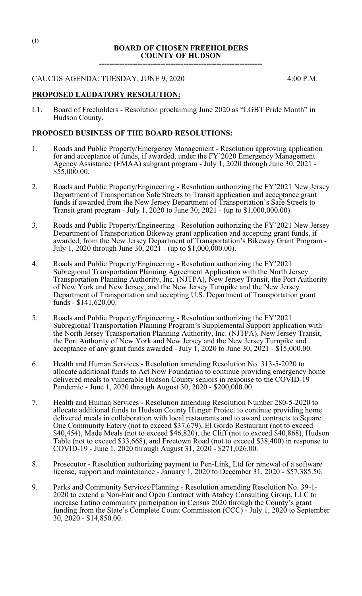### **BOARD OF CHOSEN FREEHOLDERS COUNTY OF HUDSON ----------------------------------------------------------------**

### CAUCUS AGENDA: TUESDAY, JUNE 9, 2020 4:00 P.M.

## **PROPOSED LAUDATORY RESOLUTION:**

L1. Board of Freeholders - Resolution proclaiming June 2020 as "LGBT Pride Month" in Hudson County.

## **PROPOSED BUSINESS OF THE BOARD RESOLUTIONS:**

- 1. Roads and Public Property/Emergency Management Resolution approving application for and acceptance of funds, if awarded, under the FY'2020 Emergency Management Agency Assistance (EMAA) subgrant program - July 1, 2020 through June 30, 2021 - \$55,000.00.
- 2. Roads and Public Property/Engineering Resolution authorizing the FY'2021 New Jersey Department of Transportation Safe Streets to Transit application and acceptance grant funds if awarded from the New Jersey Department of Transportation's Safe Streets to Transit grant program - July 1, 2020 to June 30, 2021 - (up to \$1,000,000.00).
- 3. Roads and Public Property/Engineering Resolution authorizing the FY'2021 New Jersey Department of Transportation Bikeway grant application and accepting grant funds, if awarded, from the New Jersey Department of Transportation's Bikeway Grant Program - July 1, 2020 through June 30, 2021 - (up to \$1,000,000.00).
- 4. Roads and Public Property/Engineering Resolution authorizing the FY'2021 Subregional Transportation Planning Agreement Application with the North Jersey Transportation Planning Authority, Inc. (NJTPA), New Jersey Transit, the Port Authority of New York and New Jersey, and the New Jersey Turnpike and the New Jersey Department of Transportation and accepting U.S. Department of Transportation grant funds - \$141,620.00.
- 5. Roads and Public Property/Engineering Resolution authorizing the FY'2021 Subregional Transportation Planning Program's Supplemental Support application with the North Jersey Transportation Planning Authority, Inc. (NJTPA), New Jersey Transit, the Port Authority of New York and New Jersey and the New Jersey Turnpike and acceptance of any grant funds awarded - July 1, 2020 to June 30,  $20\overline{2}1 - 15,000.00$ .
- 6. Health and Human Services Resolution amending Resolution No. 313-5-2020 to allocate additional funds to Act Now Foundation to continue providing emergency home delivered meals to vulnerable Hudson County seniors in response to the COVID-19 Pandemic - June 1, 2020 through August 30, 2020 - \$200,000.00.
- 7. Health and Human Services Resolution amending Resolution Number 280-5-2020 to allocate additional funds to Hudson County Hunger Project to continue providing home delivered meals in collaboration with local restaurants and to award contracts to Square One Community Eatery (not to exceed \$37,679), El Gordo Restaurant (not to exceed \$40,454), Made Meals (not to exceed \$46,820), the Cliff (not to exceed \$40,868), Hudson Table (not to exceed \$33,668), and Freetown Road (not to exceed \$38,400) in response to COVID-19 - June 1, 2020 through August 31, 2020 - \$271,026.00.
- 8. Prosecutor Resolution authorizing payment to Pen-Link, Ltd for renewal of a software license, support and maintenance - January 1, 2020 to December 31, 2020 - \$57,385.50.
- 9. Parks and Community Services/Planning Resolution amending Resolution No. 39-1- 2020 to extend a Non-Fair and Open Contract with Atabey Consulting Group, LLC to increase Latino community participation in Census 2020 through the County's grant funding from the State's Complete Count Commission (CCC) - July 1, 2020 to September 30, 2020 - \$14,850.00.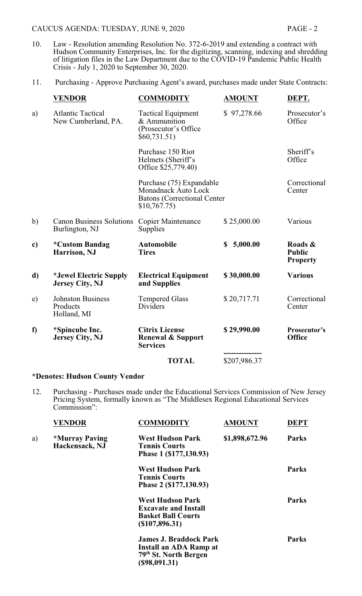- 10. Law Resolution amending Resolution No. 372-6-2019 and extending a contract with Hudson Community Enterprises, Inc. for the digitizing, scanning, indexing and shredding of litigation files in the Law Department due to the COVID-19 Pandemic Public Health Crisis - July 1, 2020 to September 30, 2020.
- 11. Purchasing Approve Purchasing Agent's award, purchases made under State Contracts:

|    | <b>VENDOR</b>                                       | <b>COMMODITY</b>                                                                                       | <b>AMOUNT</b> | DEPT.                                       |
|----|-----------------------------------------------------|--------------------------------------------------------------------------------------------------------|---------------|---------------------------------------------|
| a) | <b>Atlantic Tactical</b><br>New Cumberland, PA.     | <b>Tactical Equipment</b><br>& Ammunition<br>(Prosecutor's Office)<br>\$60,731.51)                     | \$97,278.66   | Prosecutor's<br>Office                      |
|    |                                                     | Purchase 150 Riot<br>Helmets (Sheriff's<br>Office \$25,779.40)                                         |               | Sheriff's<br>Office                         |
|    |                                                     | Purchase (75) Expandable<br>Monadnack Auto Lock<br><b>Batons</b> (Correctional Center)<br>\$10,767.75) |               | Correctional<br>Center                      |
| b) | <b>Canon Business Solutions</b><br>Burlington, NJ   | <b>Copier Maintenance</b><br>Supplies                                                                  | \$25,000.00   | Various                                     |
| c) | <i><b>*Custom Bandag</b></i><br>Harrison, NJ        | <b>Automobile</b><br><b>Tires</b>                                                                      | \$5,000.00    | Roads &<br><b>Public</b><br><b>Property</b> |
| d) | *Jewel Electric Supply<br><b>Jersey City, NJ</b>    | <b>Electrical Equipment</b><br>and Supplies                                                            | \$30,000.00   | <b>Various</b>                              |
| e) | <b>Johnston Business</b><br>Products<br>Holland, MI | <b>Tempered Glass</b><br>Dividers                                                                      | \$20,717.71   | Correctional<br>Center                      |
| f) | *Spincube Inc.<br><b>Jersey City, NJ</b>            | <b>Citrix License</b><br><b>Renewal &amp; Support</b><br><b>Services</b>                               | \$29,990.00   | Prosecutor's<br><b>Office</b>               |
|    |                                                     | <b>TOTAL</b>                                                                                           | \$207,986.37  |                                             |

## **\*Denotes: Hudson County Vendor**

12. Purchasing - Purchases made under the Educational Services Commission of New Jersey Pricing System, formally known as "The Middlesex Regional Educational Services Commission":

|    | <b>VENDOR</b>                                  | <b>COMMODITY</b>                                                                                      | <b>AMOUNT</b>  | <b>DEPT</b>  |
|----|------------------------------------------------|-------------------------------------------------------------------------------------------------------|----------------|--------------|
| a) | <i><b>*Murray Paving</b></i><br>Hackensack, NJ | <b>West Hudson Park</b><br><b>Tennis Courts</b><br>Phase 1 (\$177,130.93)                             | \$1,898,672.96 | <b>Parks</b> |
|    |                                                | <b>West Hudson Park</b><br><b>Tennis Courts</b><br>Phase 2 (\$177,130.93)                             |                | <b>Parks</b> |
|    |                                                | <b>West Hudson Park</b><br><b>Excavate and Install</b><br><b>Basket Ball Courts</b><br>(\$107,896.31) |                | <b>Parks</b> |
|    |                                                | <b>James J. Braddock Park</b><br>Install an ADA Ramp at<br>79th St. North Bergen<br>(\$98,091.31)     |                | <b>Parks</b> |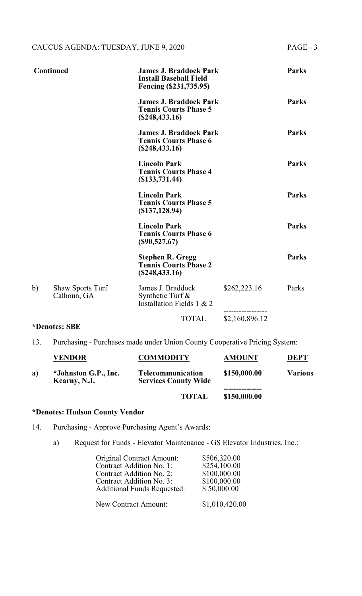|    | <b>Continued</b>                       | <b>James J. Braddock Park</b><br><b>Install Baseball Field</b><br>Fencing (\$231,735.95) |                | <b>Parks</b> |
|----|----------------------------------------|------------------------------------------------------------------------------------------|----------------|--------------|
|    |                                        | <b>James J. Braddock Park</b><br><b>Tennis Courts Phase 5</b><br>(\$248,433.16)          |                | <b>Parks</b> |
|    |                                        | <b>James J. Braddock Park</b><br><b>Tennis Courts Phase 6</b><br>(\$248,433.16)          |                | <b>Parks</b> |
|    |                                        | <b>Lincoln Park</b><br><b>Tennis Courts Phase 4</b><br>(\$133,731.44)                    |                | <b>Parks</b> |
|    |                                        | <b>Lincoln Park</b><br><b>Tennis Courts Phase 5</b><br>(\$137,128.94)                    |                | <b>Parks</b> |
|    |                                        | <b>Lincoln Park</b><br><b>Tennis Courts Phase 6</b><br>$(\$90,527,67)$                   |                | <b>Parks</b> |
|    |                                        | <b>Stephen R. Gregg</b><br><b>Tennis Courts Phase 2</b><br>$(\$248,433.16)$              |                | <b>Parks</b> |
| b) | <b>Shaw Sports Turf</b><br>Calhoun, GA | James J. Braddock<br>Synthetic Turf $\&$<br>Installation Fields 1 & 2                    | \$262,223.16   | Parks        |
|    |                                        | <b>TOTAL</b>                                                                             | \$2,160,896.12 |              |

# **\*Denotes: SBE**

13. Purchasing - Purchases made under Union County Cooperative Pricing System:

|    | <b>VENDOR</b>                        | <b>COMMODITY</b>                                        | <b>AMOUNT</b> | <b>DEPT</b>    |
|----|--------------------------------------|---------------------------------------------------------|---------------|----------------|
| a) | *Johnston G.P., Inc.<br>Kearny, N.J. | <b>Telecommunication</b><br><b>Services County Wide</b> | \$150,000.00  | <b>Various</b> |
|    |                                      | <b>TOTAL</b>                                            | \$150,000.00  |                |

# **\*Denotes: Hudson County Vendor**

- 14. Purchasing Approve Purchasing Agent's Awards:
	- a) Request for Funds Elevator Maintenance GS Elevator Industries, Inc.:

| <b>Original Contract Amount:</b>   | \$506,320.00                                                  |
|------------------------------------|---------------------------------------------------------------|
| Contract Addition No. 1:           | \$254,100.00                                                  |
| Contract Addition No. 2:           |                                                               |
| Contract Addition No. 3:           |                                                               |
| <b>Additional Funds Requested:</b> |                                                               |
|                                    |                                                               |
| New Contract Amount:               |                                                               |
|                                    | \$100,000.00<br>\$100,000.00<br>\$50,000.00<br>\$1,010,420.00 |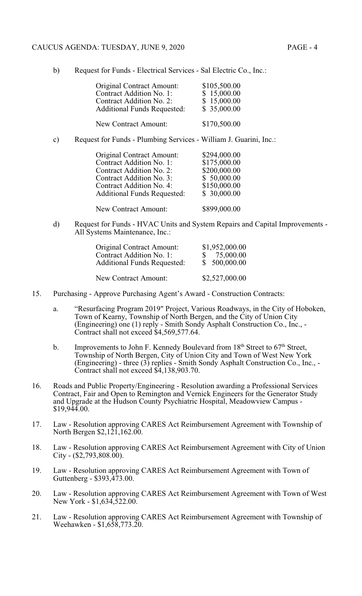#### CAUCUS AGENDA: TUESDAY, JUNE 9, 2020 PAGE - 4

|               | <b>Original Contract Amount:</b><br>Contract Addition No. 1:<br>Contract Addition No. 2:<br><b>Additional Funds Requested:</b> | \$105,500.00<br>\$15,000.00<br>\$15,000.00<br>\$35,000.00 |
|---------------|--------------------------------------------------------------------------------------------------------------------------------|-----------------------------------------------------------|
|               | <b>New Contract Amount:</b>                                                                                                    | \$170,500.00                                              |
| $\mathbf{c})$ | Request for Funds - Plumbing Services - William J. Guarini, Inc.:                                                              |                                                           |
|               | <b>Original Contract Amount:</b><br>$Control$ Addition $No$ 1.                                                                 | \$294,000.00<br>01750000                                  |

| UHgiliai Contract Ambunt.          | $927$ T,VVV.VV |
|------------------------------------|----------------|
| Contract Addition No. 1:           | \$175,000.00   |
| Contract Addition No. 2:           | \$200,000.00   |
| Contract Addition No. 3:           | \$50,000.00    |
| Contract Addition No. 4:           | \$150,000.00   |
| <b>Additional Funds Requested:</b> | \$30,000.00    |
|                                    |                |
| New Contract Amount:               | \$899,000.00   |

d) Request for Funds - HVAC Units and System Repairs and Capital Improvements - All Systems Maintenance, Inc.:

| <b>Original Contract Amount:</b><br>Contract Addition No. 1:<br><b>Additional Funds Requested:</b> | \$1,952,000.00<br>75,000.00<br>$\mathbb{S}$<br>\$500,000.00 |
|----------------------------------------------------------------------------------------------------|-------------------------------------------------------------|
| New Contract Amount:                                                                               | \$2,527,000.00                                              |

- 15. Purchasing Approve Purchasing Agent's Award Construction Contracts:
	- a. "Resurfacing Program 2019" Project, Various Roadways, in the City of Hoboken, Town of Kearny, Township of North Bergen, and the City of Union City (Engineering) one (1) reply - Smith Sondy Asphalt Construction Co., Inc., - Contract shall not exceed \$4,569,577.64.
	- b. Improvements to John F. Kennedy Boulevard from  $18<sup>th</sup>$  Street to  $67<sup>th</sup>$  Street, Township of North Bergen, City of Union City and Town of West New York (Engineering) - three (3) replies - Smith Sondy Asphalt Construction Co., Inc., - Contract shall not exceed \$4,138,903.70.
- 16. Roads and Public Property/Engineering Resolution awarding a Professional Services Contract, Fair and Open to Remington and Vernick Engineers for the Generator Study and Upgrade at the Hudson County Psychiatric Hospital, Meadowview Campus - \$19,944.00.
- 17. Law Resolution approving CARES Act Reimbursement Agreement with Township of North Bergen \$2,121,162.00.
- 18. Law Resolution approving CARES Act Reimbursement Agreement with City of Union  $City - (\$2,793,808.00).$
- 19. Law Resolution approving CARES Act Reimbursement Agreement with Town of Guttenberg - \$393,473.00.
- 20. Law Resolution approving CARES Act Reimbursement Agreement with Town of West New York - \$1,634,522.00.
- 21. Law Resolution approving CARES Act Reimbursement Agreement with Township of Weehawken - \$1,658,773.20.